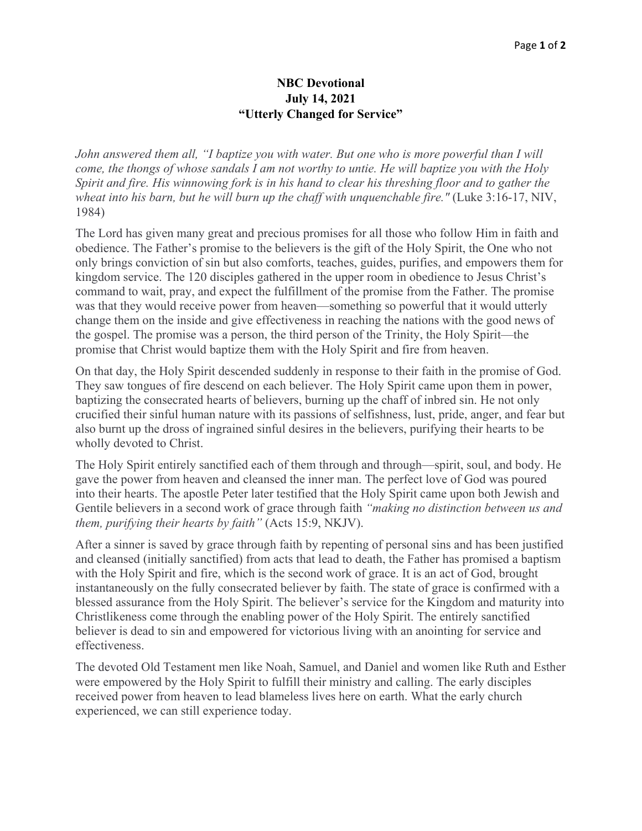## **NBC Devotional July 14, 2021 "Utterly Changed for Service"**

*John answered them all, "I baptize you with water. But one who is more powerful than I will come, the thongs of whose sandals I am not worthy to untie. He will baptize you with the Holy Spirit and fire. His winnowing fork is in his hand to clear his threshing floor and to gather the wheat into his barn, but he will burn up the chaff with unquenchable fire."* (Luke 3:16-17, NIV, 1984)

The Lord has given many great and precious promises for all those who follow Him in faith and obedience. The Father's promise to the believers is the gift of the Holy Spirit, the One who not only brings conviction of sin but also comforts, teaches, guides, purifies, and empowers them for kingdom service. The 120 disciples gathered in the upper room in obedience to Jesus Christ's command to wait, pray, and expect the fulfillment of the promise from the Father. The promise was that they would receive power from heaven—something so powerful that it would utterly change them on the inside and give effectiveness in reaching the nations with the good news of the gospel. The promise was a person, the third person of the Trinity, the Holy Spirit—the promise that Christ would baptize them with the Holy Spirit and fire from heaven.

On that day, the Holy Spirit descended suddenly in response to their faith in the promise of God. They saw tongues of fire descend on each believer. The Holy Spirit came upon them in power, baptizing the consecrated hearts of believers, burning up the chaff of inbred sin. He not only crucified their sinful human nature with its passions of selfishness, lust, pride, anger, and fear but also burnt up the dross of ingrained sinful desires in the believers, purifying their hearts to be wholly devoted to Christ.

The Holy Spirit entirely sanctified each of them through and through—spirit, soul, and body. He gave the power from heaven and cleansed the inner man. The perfect love of God was poured into their hearts. The apostle Peter later testified that the Holy Spirit came upon both Jewish and Gentile believers in a second work of grace through faith *"making no distinction between us and them, purifying their hearts by faith"* (Acts 15:9, NKJV).

After a sinner is saved by grace through faith by repenting of personal sins and has been justified and cleansed (initially sanctified) from acts that lead to death, the Father has promised a baptism with the Holy Spirit and fire, which is the second work of grace. It is an act of God, brought instantaneously on the fully consecrated believer by faith. The state of grace is confirmed with a blessed assurance from the Holy Spirit. The believer's service for the Kingdom and maturity into Christlikeness come through the enabling power of the Holy Spirit. The entirely sanctified believer is dead to sin and empowered for victorious living with an anointing for service and effectiveness.

The devoted Old Testament men like Noah, Samuel, and Daniel and women like Ruth and Esther were empowered by the Holy Spirit to fulfill their ministry and calling. The early disciples received power from heaven to lead blameless lives here on earth. What the early church experienced, we can still experience today.